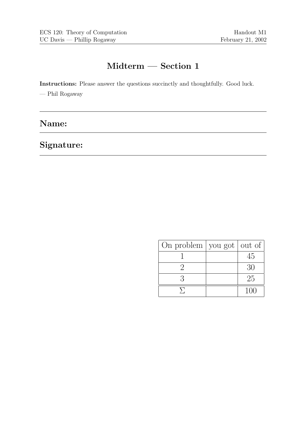# Midterm — Section 1

Instructions: Please answer the questions succinctly and thoughtfully. Good luck.

— Phil Rogaway

### Name:

## Signature:

| On problem $\vert$ you got $\vert$ out of $\vert$ |     |
|---------------------------------------------------|-----|
|                                                   | 45  |
|                                                   | 30  |
|                                                   | 25  |
|                                                   | 100 |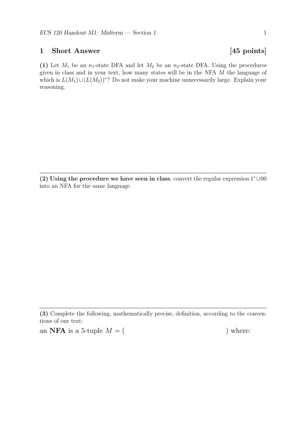### 1 Short Answer [45 points]

(1) Let  $M_1$  be an  $n_1$ -state DFA and let  $M_2$  be an  $n_2$ -state DFA. Using the procedures given in class and in your text, how many states will be in the NFA M the language of which is  $L(M_1) \cup (L(M_2))^*$ ? Do not make your machine unnecessarily large. Explain your reasoning.

(2) Using the procedure we have seen in class, convert the regular expression 1<sup>∗</sup>∪00 into an NFA for the same language.

an **NFA** is a 5-tuple  $M = ($  ) where:

<sup>(3)</sup> Complete the following, mathematically precise, definition, according to the conventions of our text: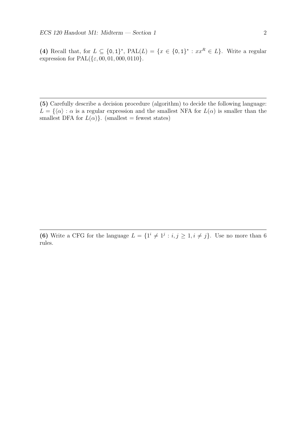(4) Recall that, for  $L \subseteq \{0,1\}^*$ ,  $\text{PAL}(L) = \{x \in \{0,1\}^* : xx^R \in L\}$ . Write a regular expression for  $PAL({\epsilon, 00, 01, 000, 0110}).$ 

(5) Carefully describe a decision procedure (algorithm) to decide the following language:  $L = \{\langle \alpha \rangle : \alpha$  is a regular expression and the smallest NFA for  $L(\alpha)$  is smaller than the smallest DFA for  $L(\alpha)$ . (smallest = fewest states)

(6) Write a CFG for the language  $L = \{1^i \neq 1^j : i, j \geq 1, i \neq j\}$ . Use no more than 6 rules.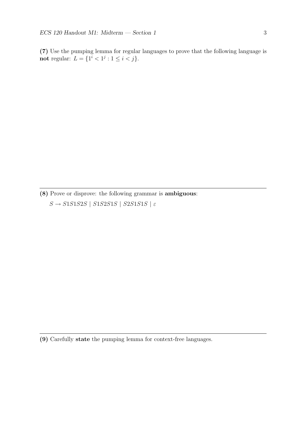(7) Use the pumping lemma for regular languages to prove that the following language is not regular:  $L = \{1^i < 1^j : 1 \le i < j\}.$ 

(8) Prove or disprove: the following grammar is ambiguous:  $S \rightarrow S1S1S2S$  |  $S1S2S1S$  |  $S2S1S1S$  |  $\varepsilon$ 

(9) Carefully state the pumping lemma for context-free languages.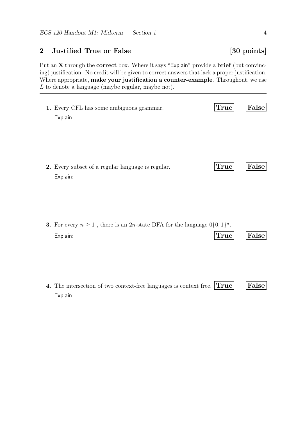### 2 Justified True or False [30 points]

Put an X through the correct box. Where it says "Explain" provide a brief (but convincing) justification. No credit will be given to correct answers that lack a proper justification. Where appropriate, make your justification a counter-example. Throughout, we use L to denote a language (maybe regular, maybe not).

| 1. Every CFL has some ambiguous grammar.                      | True | False |
|---------------------------------------------------------------|------|-------|
| Explain:                                                      |      |       |
| 2. Every subset of a regular language is regular.<br>Explain: | True | False |

| <b>3.</b> For every $n \geq 1$ , there is an 2 <i>n</i> -state DFA for the language $0\{0,1\}^n$ . |            |  |
|----------------------------------------------------------------------------------------------------|------------|--|
| Explain:                                                                                           | True False |  |

| 4. The intersection of two context-free languages is context free. $ \text{True} $ $ \text{False} $ |  |  |
|-----------------------------------------------------------------------------------------------------|--|--|
| Explain:                                                                                            |  |  |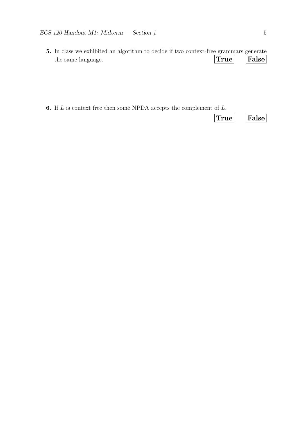- 5. In class we exhibited an algorithm to decide if two context-free grammars generate the same language. True False
- **6.** If  $L$  is context free then some NPDA accepts the complement of  $L$ .

True False